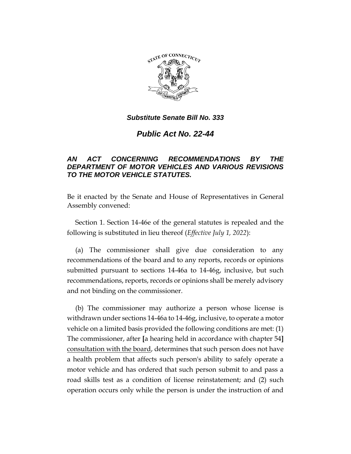

*Public Act No. 22-44*

# *AN ACT CONCERNING RECOMMENDATIONS BY THE DEPARTMENT OF MOTOR VEHICLES AND VARIOUS REVISIONS TO THE MOTOR VEHICLE STATUTES.*

Be it enacted by the Senate and House of Representatives in General Assembly convened:

Section 1. Section 14-46e of the general statutes is repealed and the following is substituted in lieu thereof (*Effective July 1, 2022*):

(a) The commissioner shall give due consideration to any recommendations of the board and to any reports, records or opinions submitted pursuant to sections 14-46a to 14-46g, inclusive, but such recommendations, reports, records or opinions shall be merely advisory and not binding on the commissioner.

(b) The commissioner may authorize a person whose license is withdrawn under sections 14-46a to 14-46g, inclusive, to operate a motor vehicle on a limited basis provided the following conditions are met: (1) The commissioner, after **[**a hearing held in accordance with chapter 54**]** consultation with the board, determines that such person does not have a health problem that affects such person's ability to safely operate a motor vehicle and has ordered that such person submit to and pass a road skills test as a condition of license reinstatement; and (2) such operation occurs only while the person is under the instruction of and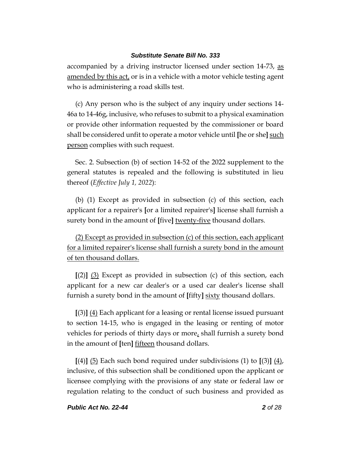accompanied by a driving instructor licensed under section 14-73, as amended by this act, or is in a vehicle with a motor vehicle testing agent who is administering a road skills test.

(c) Any person who is the subject of any inquiry under sections 14- 46a to 14-46g, inclusive, who refuses to submit to a physical examination or provide other information requested by the commissioner or board shall be considered unfit to operate a motor vehicle until **[**he or she**]** such person complies with such request.

Sec. 2. Subsection (b) of section 14-52 of the 2022 supplement to the general statutes is repealed and the following is substituted in lieu thereof (*Effective July 1, 2022*):

(b) (1) Except as provided in subsection (c) of this section, each applicant for a repairer's **[**or a limited repairer's**]** license shall furnish a surety bond in the amount of **[**five**]** twenty-five thousand dollars.

(2) Except as provided in subsection (c) of this section, each applicant for a limited repairer's license shall furnish a surety bond in the amount of ten thousand dollars.

**[**(2)**]** (3) Except as provided in subsection (c) of this section, each applicant for a new car dealer's or a used car dealer's license shall furnish a surety bond in the amount of **[**fifty**]** sixty thousand dollars.

**[**(3)**]** (4) Each applicant for a leasing or rental license issued pursuant to section 14-15, who is engaged in the leasing or renting of motor vehicles for periods of thirty days or more, shall furnish a surety bond in the amount of **[**ten**]** fifteen thousand dollars.

**[**(4)**]** (5) Each such bond required under subdivisions (1) to **[**(3)**]** (4), inclusive, of this subsection shall be conditioned upon the applicant or licensee complying with the provisions of any state or federal law or regulation relating to the conduct of such business and provided as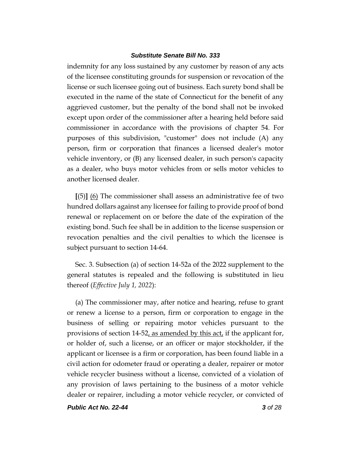indemnity for any loss sustained by any customer by reason of any acts of the licensee constituting grounds for suspension or revocation of the license or such licensee going out of business. Each surety bond shall be executed in the name of the state of Connecticut for the benefit of any aggrieved customer, but the penalty of the bond shall not be invoked except upon order of the commissioner after a hearing held before said commissioner in accordance with the provisions of chapter 54. For purposes of this subdivision, "customer" does not include (A) any person, firm or corporation that finances a licensed dealer's motor vehicle inventory, or (B) any licensed dealer, in such person's capacity as a dealer, who buys motor vehicles from or sells motor vehicles to another licensed dealer.

**[**(5)**]** (6) The commissioner shall assess an administrative fee of two hundred dollars against any licensee for failing to provide proof of bond renewal or replacement on or before the date of the expiration of the existing bond. Such fee shall be in addition to the license suspension or revocation penalties and the civil penalties to which the licensee is subject pursuant to section 14-64.

Sec. 3. Subsection (a) of section 14-52a of the 2022 supplement to the general statutes is repealed and the following is substituted in lieu thereof (*Effective July 1, 2022*):

(a) The commissioner may, after notice and hearing, refuse to grant or renew a license to a person, firm or corporation to engage in the business of selling or repairing motor vehicles pursuant to the provisions of section 14-52, as amended by this act, if the applicant for, or holder of, such a license, or an officer or major stockholder, if the applicant or licensee is a firm or corporation, has been found liable in a civil action for odometer fraud or operating a dealer, repairer or motor vehicle recycler business without a license, convicted of a violation of any provision of laws pertaining to the business of a motor vehicle dealer or repairer, including a motor vehicle recycler, or convicted of

*Public Act No. 22-44 3 of 28*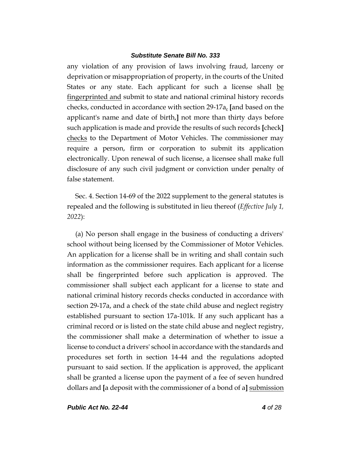any violation of any provision of laws involving fraud, larceny or deprivation or misappropriation of property, in the courts of the United States or any state. Each applicant for such a license shall be fingerprinted and submit to state and national criminal history records checks, conducted in accordance with section 29-17a, **[**and based on the applicant's name and date of birth,**]** not more than thirty days before such application is made and provide the results of such records **[**check**]** checks to the Department of Motor Vehicles. The commissioner may require a person, firm or corporation to submit its application electronically. Upon renewal of such license, a licensee shall make full disclosure of any such civil judgment or conviction under penalty of false statement.

Sec. 4. Section 14-69 of the 2022 supplement to the general statutes is repealed and the following is substituted in lieu thereof (*Effective July 1, 2022*):

(a) No person shall engage in the business of conducting a drivers' school without being licensed by the Commissioner of Motor Vehicles. An application for a license shall be in writing and shall contain such information as the commissioner requires. Each applicant for a license shall be fingerprinted before such application is approved. The commissioner shall subject each applicant for a license to state and national criminal history records checks conducted in accordance with section 29-17a, and a check of the state child abuse and neglect registry established pursuant to section 17a-101k. If any such applicant has a criminal record or is listed on the state child abuse and neglect registry, the commissioner shall make a determination of whether to issue a license to conduct a drivers' school in accordance with the standards and procedures set forth in section 14-44 and the regulations adopted pursuant to said section. If the application is approved, the applicant shall be granted a license upon the payment of a fee of seven hundred dollars and **[**a deposit with the commissioner of a bond of a**]** submission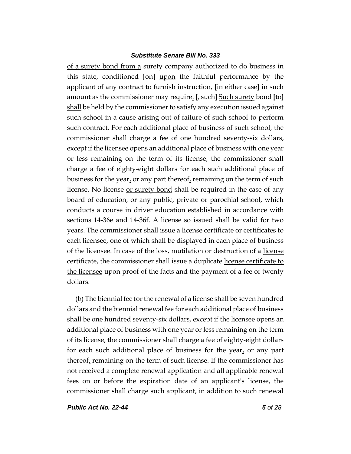of a surety bond from a surety company authorized to do business in this state, conditioned **[**on**]** upon the faithful performance by the applicant of any contract to furnish instruction, **[**in either case**]** in such amount as the commissioner may require. **[**, such**]** Such surety bond **[**to**]** shall be held by the commissioner to satisfy any execution issued against such school in a cause arising out of failure of such school to perform such contract. For each additional place of business of such school, the commissioner shall charge a fee of one hundred seventy-six dollars, except if the licensee opens an additional place of business with one year or less remaining on the term of its license, the commissioner shall charge a fee of eighty-eight dollars for each such additional place of business for the year, or any part thereof, remaining on the term of such license. No license <u>or surety bond</u> shall be required in the case of any board of education, or any public, private or parochial school, which conducts a course in driver education established in accordance with sections 14-36e and 14-36f. A license so issued shall be valid for two years. The commissioner shall issue a license certificate or certificates to each licensee, one of which shall be displayed in each place of business of the licensee. In case of the loss, mutilation or destruction of a license certificate, the commissioner shall issue a duplicate license certificate to the licensee upon proof of the facts and the payment of a fee of twenty dollars.

(b) The biennial fee for the renewal of a license shall be seven hundred dollars and the biennial renewal fee for each additional place of business shall be one hundred seventy-six dollars, except if the licensee opens an additional place of business with one year or less remaining on the term of its license, the commissioner shall charge a fee of eighty-eight dollars for each such additional place of business for the year, or any part thereof, remaining on the term of such license. If the commissioner has not received a complete renewal application and all applicable renewal fees on or before the expiration date of an applicant's license, the commissioner shall charge such applicant, in addition to such renewal

*Public Act No. 22-44 5 of 28*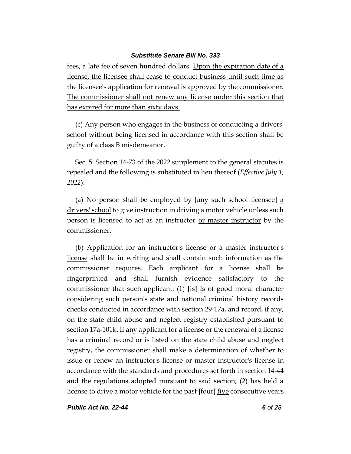fees, a late fee of seven hundred dollars. Upon the expiration date of a license, the licensee shall cease to conduct business until such time as the licensee's application for renewal is approved by the commissioner. The commissioner shall not renew any license under this section that has expired for more than sixty days.

(c) Any person who engages in the business of conducting a drivers' school without being licensed in accordance with this section shall be guilty of a class B misdemeanor.

Sec. 5. Section 14-73 of the 2022 supplement to the general statutes is repealed and the following is substituted in lieu thereof (*Effective July 1, 2022*):

(a) No person shall be employed by **[**any such school licensee**]** a drivers' school to give instruction in driving a motor vehicle unless such person is licensed to act as an instructor or master instructor by the commissioner.

(b) Application for an instructor's license or a master instructor's license shall be in writing and shall contain such information as the commissioner requires. Each applicant for a license shall be fingerprinted and shall furnish evidence satisfactory to the commissioner that such applicant: (1) **[**is**]** Is of good moral character considering such person's state and national criminal history records checks conducted in accordance with section 29-17a, and record, if any, on the state child abuse and neglect registry established pursuant to section 17a-101k. If any applicant for a license or the renewal of a license has a criminal record or is listed on the state child abuse and neglect registry, the commissioner shall make a determination of whether to issue or renew an instructor's license or master instructor's license in accordance with the standards and procedures set forth in section 14-44 and the regulations adopted pursuant to said section; (2) has held a license to drive a motor vehicle for the past **[**four**]** five consecutive years

*Public Act No. 22-44 6 of 28*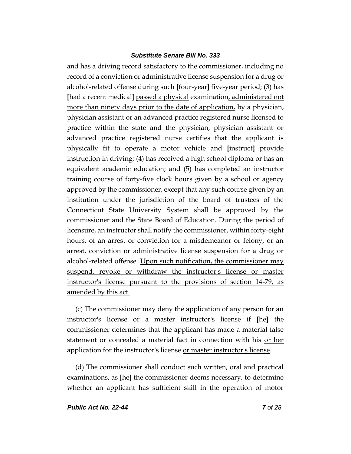and has a driving record satisfactory to the commissioner, including no record of a conviction or administrative license suspension for a drug or alcohol-related offense during such **[**four-year**]** five-year period; (3) has **[**had a recent medical**]** passed a physical examination, administered not more than ninety days prior to the date of application, by a physician, physician assistant or an advanced practice registered nurse licensed to practice within the state and the physician, physician assistant or advanced practice registered nurse certifies that the applicant is physically fit to operate a motor vehicle and **[**instruct**]** provide instruction in driving; (4) has received a high school diploma or has an equivalent academic education; and (5) has completed an instructor training course of forty-five clock hours given by a school or agency approved by the commissioner, except that any such course given by an institution under the jurisdiction of the board of trustees of the Connecticut State University System shall be approved by the commissioner and the State Board of Education. During the period of licensure, an instructor shall notify the commissioner, within forty-eight hours, of an arrest or conviction for a misdemeanor or felony, or an arrest, conviction or administrative license suspension for a drug or alcohol-related offense. Upon such notification, the commissioner may suspend, revoke or withdraw the instructor's license or master instructor's license pursuant to the provisions of section 14-79, as amended by this act.

(c) The commissioner may deny the application of any person for an instructor's license or a master instructor's license if **[**he**]** the commissioner determines that the applicant has made a material false statement or concealed a material fact in connection with his or her application for the instructor's license <u>or master instructor's license</u>.

(d) The commissioner shall conduct such written, oral and practical examinations, as [he] the commissioner deems necessary, to determine whether an applicant has sufficient skill in the operation of motor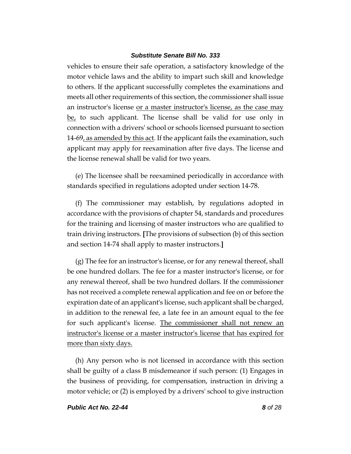vehicles to ensure their safe operation, a satisfactory knowledge of the motor vehicle laws and the ability to impart such skill and knowledge to others. If the applicant successfully completes the examinations and meets all other requirements of this section, the commissioner shall issue an instructor's license or a master instructor's license, as the case may be, to such applicant. The license shall be valid for use only in connection with a drivers' school or schools licensed pursuant to section 14-69, as amended by this act. If the applicant fails the examination, such applicant may apply for reexamination after five days. The license and the license renewal shall be valid for two years.

(e) The licensee shall be reexamined periodically in accordance with standards specified in regulations adopted under section 14-78.

(f) The commissioner may establish, by regulations adopted in accordance with the provisions of chapter 54, standards and procedures for the training and licensing of master instructors who are qualified to train driving instructors. **[**The provisions of subsection (b) of this section and section 14-74 shall apply to master instructors.**]**

(g) The fee for an instructor's license, or for any renewal thereof, shall be one hundred dollars. The fee for a master instructor's license, or for any renewal thereof, shall be two hundred dollars. If the commissioner has not received a complete renewal application and fee on or before the expiration date of an applicant's license, such applicant shall be charged, in addition to the renewal fee, a late fee in an amount equal to the fee for such applicant's license. The commissioner shall not renew an instructor's license or a master instructor's license that has expired for more than sixty days.

(h) Any person who is not licensed in accordance with this section shall be guilty of a class B misdemeanor if such person: (1) Engages in the business of providing, for compensation, instruction in driving a motor vehicle; or (2) is employed by a drivers' school to give instruction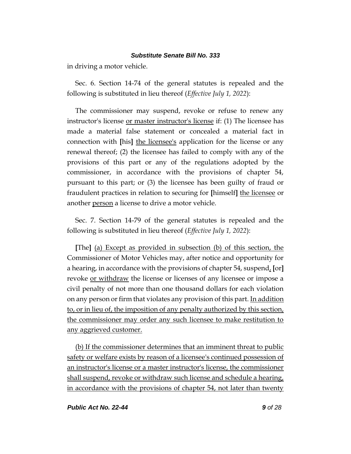in driving a motor vehicle.

Sec. 6. Section 14-74 of the general statutes is repealed and the following is substituted in lieu thereof (*Effective July 1, 2022*):

The commissioner may suspend, revoke or refuse to renew any instructor's license or master instructor's license if: (1) The licensee has made a material false statement or concealed a material fact in connection with **[**his**]** the licensee's application for the license or any renewal thereof; (2) the licensee has failed to comply with any of the provisions of this part or any of the regulations adopted by the commissioner, in accordance with the provisions of chapter 54, pursuant to this part; or (3) the licensee has been guilty of fraud or fraudulent practices in relation to securing for **[**himself**]** the licensee or another person a license to drive a motor vehicle.

Sec. 7. Section 14-79 of the general statutes is repealed and the following is substituted in lieu thereof (*Effective July 1, 2022*):

**[**The**]** (a) Except as provided in subsection (b) of this section, the Commissioner of Motor Vehicles may, after notice and opportunity for a hearing, in accordance with the provisions of chapter 54, suspend, **[**or**]** revoke or withdraw the license or licenses of any licensee or impose a civil penalty of not more than one thousand dollars for each violation on any person or firm that violates any provision of this part. In addition to, or in lieu of, the imposition of any penalty authorized by this section, the commissioner may order any such licensee to make restitution to any aggrieved customer.

(b) If the commissioner determines that an imminent threat to public safety or welfare exists by reason of a licensee's continued possession of an instructor's license or a master instructor's license, the commissioner shall suspend, revoke or withdraw such license and schedule a hearing, in accordance with the provisions of chapter 54, not later than twenty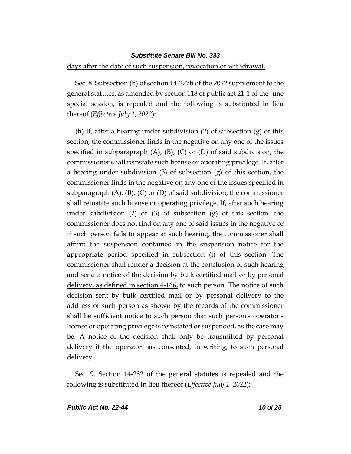#### days after the date of such suspension, revocation or withdrawal.

Sec. 8. Subsection (h) of section 14-227b of the 2022 supplement to the general statutes, as amended by section 118 of public act 21-1 of the June special session, is repealed and the following is substituted in lieu thereof (*Effective July 1, 2022*):

(h) If, after a hearing under subdivision (2) of subsection (g) of this section, the commissioner finds in the negative on any one of the issues specified in subparagraph  $(A)$ ,  $(B)$ ,  $(C)$  or  $(D)$  of said subdivision, the commissioner shall reinstate such license or operating privilege. If, after a hearing under subdivision (3) of subsection (g) of this section, the commissioner finds in the negative on any one of the issues specified in subparagraph  $(A)$ ,  $(B)$ ,  $(C)$  or  $(D)$  of said subdivision, the commissioner shall reinstate such license or operating privilege. If, after such hearing under subdivision (2) or (3) of subsection (g) of this section, the commissioner does not find on any one of said issues in the negative or if such person fails to appear at such hearing, the commissioner shall affirm the suspension contained in the suspension notice for the appropriate period specified in subsection (i) of this section. The commissioner shall render a decision at the conclusion of such hearing and send a notice of the decision by bulk certified mail or by personal delivery, as defined in section 4-166, to such person. The notice of such decision sent by bulk certified mail or by personal delivery to the address of such person as shown by the records of the commissioner shall be sufficient notice to such person that such person's operator's license or operating privilege is reinstated or suspended, as the case may be. A notice of the decision shall only be transmitted by personal delivery if the operator has consented, in writing, to such personal delivery.

Sec. 9. Section 14-282 of the general statutes is repealed and the following is substituted in lieu thereof (*Effective July 1, 2022*):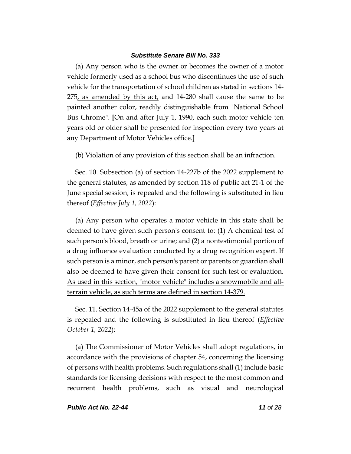(a) Any person who is the owner or becomes the owner of a motor vehicle formerly used as a school bus who discontinues the use of such vehicle for the transportation of school children as stated in sections 14- 275, as amended by this act, and 14-280 shall cause the same to be painted another color, readily distinguishable from "National School Bus Chrome". **[**On and after July 1, 1990, each such motor vehicle ten years old or older shall be presented for inspection every two years at any Department of Motor Vehicles office.**]**

(b) Violation of any provision of this section shall be an infraction.

Sec. 10. Subsection (a) of section 14-227b of the 2022 supplement to the general statutes, as amended by section 118 of public act 21-1 of the June special session, is repealed and the following is substituted in lieu thereof (*Effective July 1, 2022*):

(a) Any person who operates a motor vehicle in this state shall be deemed to have given such person's consent to: (1) A chemical test of such person's blood, breath or urine; and (2) a nontestimonial portion of a drug influence evaluation conducted by a drug recognition expert. If such person is a minor, such person's parent or parents or guardian shall also be deemed to have given their consent for such test or evaluation. As used in this section, "motor vehicle" includes a snowmobile and allterrain vehicle, as such terms are defined in section 14-379.

Sec. 11. Section 14-45a of the 2022 supplement to the general statutes is repealed and the following is substituted in lieu thereof (*Effective October 1, 2022*):

(a) The Commissioner of Motor Vehicles shall adopt regulations, in accordance with the provisions of chapter 54, concerning the licensing of persons with health problems. Such regulations shall (1) include basic standards for licensing decisions with respect to the most common and recurrent health problems, such as visual and neurological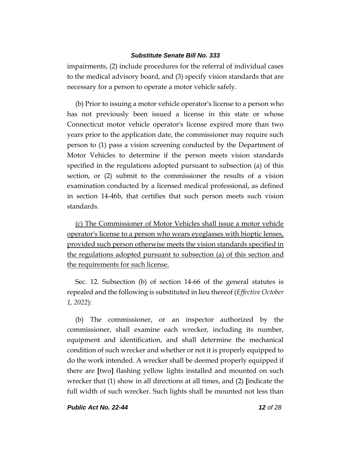impairments, (2) include procedures for the referral of individual cases to the medical advisory board, and (3) specify vision standards that are necessary for a person to operate a motor vehicle safely.

(b) Prior to issuing a motor vehicle operator's license to a person who has not previously been issued a license in this state or whose Connecticut motor vehicle operator's license expired more than two years prior to the application date, the commissioner may require such person to (1) pass a vision screening conducted by the Department of Motor Vehicles to determine if the person meets vision standards specified in the regulations adopted pursuant to subsection (a) of this section, or (2) submit to the commissioner the results of a vision examination conducted by a licensed medical professional, as defined in section 14-46b, that certifies that such person meets such vision standards.

(c) The Commissioner of Motor Vehicles shall issue a motor vehicle operator's license to a person who wears eyeglasses with bioptic lenses, provided such person otherwise meets the vision standards specified in the regulations adopted pursuant to subsection (a) of this section and the requirements for such license.

Sec. 12. Subsection (b) of section 14-66 of the general statutes is repealed and the following is substituted in lieu thereof (*Effective October 1, 2022*):

(b) The commissioner, or an inspector authorized by the commissioner, shall examine each wrecker, including its number, equipment and identification, and shall determine the mechanical condition of such wrecker and whether or not it is properly equipped to do the work intended. A wrecker shall be deemed properly equipped if there are **[**two**]** flashing yellow lights installed and mounted on such wrecker that (1) show in all directions at all times, and (2) **[**indicate the full width of such wrecker. Such lights shall be mounted not less than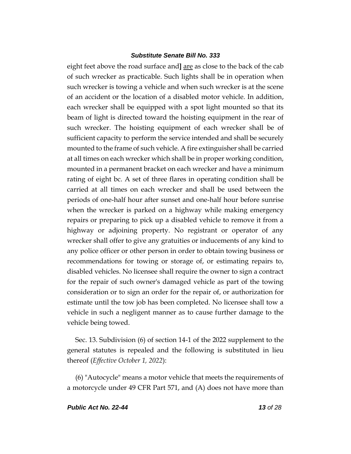eight feet above the road surface and**]** are as close to the back of the cab of such wrecker as practicable. Such lights shall be in operation when such wrecker is towing a vehicle and when such wrecker is at the scene of an accident or the location of a disabled motor vehicle. In addition, each wrecker shall be equipped with a spot light mounted so that its beam of light is directed toward the hoisting equipment in the rear of such wrecker. The hoisting equipment of each wrecker shall be of sufficient capacity to perform the service intended and shall be securely mounted to the frame of such vehicle. A fire extinguisher shall be carried at all times on each wrecker which shall be in proper working condition, mounted in a permanent bracket on each wrecker and have a minimum rating of eight bc. A set of three flares in operating condition shall be carried at all times on each wrecker and shall be used between the periods of one-half hour after sunset and one-half hour before sunrise when the wrecker is parked on a highway while making emergency repairs or preparing to pick up a disabled vehicle to remove it from a highway or adjoining property. No registrant or operator of any wrecker shall offer to give any gratuities or inducements of any kind to any police officer or other person in order to obtain towing business or recommendations for towing or storage of, or estimating repairs to, disabled vehicles. No licensee shall require the owner to sign a contract for the repair of such owner's damaged vehicle as part of the towing consideration or to sign an order for the repair of, or authorization for estimate until the tow job has been completed. No licensee shall tow a vehicle in such a negligent manner as to cause further damage to the vehicle being towed.

Sec. 13. Subdivision (6) of section 14-1 of the 2022 supplement to the general statutes is repealed and the following is substituted in lieu thereof (*Effective October 1, 2022*):

(6) "Autocycle" means a motor vehicle that meets the requirements of a motorcycle under 49 CFR Part 571, and (A) does not have more than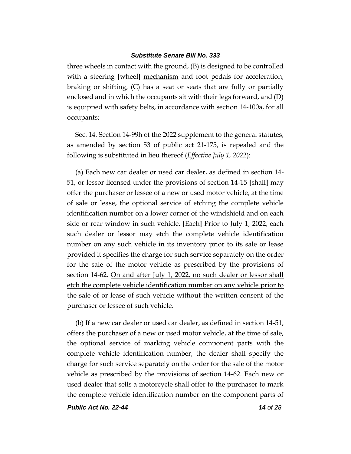three wheels in contact with the ground, (B) is designed to be controlled with a steering **[**wheel**]** mechanism and foot pedals for acceleration, braking or shifting, (C) has a seat or seats that are fully or partially enclosed and in which the occupants sit with their legs forward, and (D) is equipped with safety belts, in accordance with section 14-100a, for all occupants;

Sec. 14. Section 14-99h of the 2022 supplement to the general statutes, as amended by section 53 of public act 21-175, is repealed and the following is substituted in lieu thereof (*Effective July 1, 2022*):

(a) Each new car dealer or used car dealer, as defined in section 14- 51, or lessor licensed under the provisions of section 14-15 **[**shall**]** may offer the purchaser or lessee of a new or used motor vehicle, at the time of sale or lease, the optional service of etching the complete vehicle identification number on a lower corner of the windshield and on each side or rear window in such vehicle. **[**Each**]** Prior to July 1, 2022, each such dealer or lessor may etch the complete vehicle identification number on any such vehicle in its inventory prior to its sale or lease provided it specifies the charge for such service separately on the order for the sale of the motor vehicle as prescribed by the provisions of section 14-62. On and after July 1, 2022, no such dealer or lessor shall etch the complete vehicle identification number on any vehicle prior to the sale of or lease of such vehicle without the written consent of the purchaser or lessee of such vehicle.

(b) If a new car dealer or used car dealer, as defined in section 14-51, offers the purchaser of a new or used motor vehicle, at the time of sale, the optional service of marking vehicle component parts with the complete vehicle identification number, the dealer shall specify the charge for such service separately on the order for the sale of the motor vehicle as prescribed by the provisions of section 14-62. Each new or used dealer that sells a motorcycle shall offer to the purchaser to mark the complete vehicle identification number on the component parts of

*Public Act No. 22-44 14 of 28*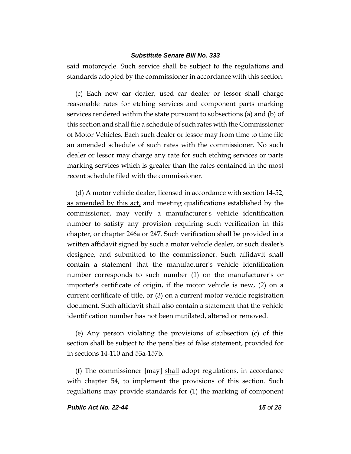said motorcycle. Such service shall be subject to the regulations and standards adopted by the commissioner in accordance with this section.

(c) Each new car dealer, used car dealer or lessor shall charge reasonable rates for etching services and component parts marking services rendered within the state pursuant to subsections (a) and (b) of this section and shall file a schedule of such rates with the Commissioner of Motor Vehicles. Each such dealer or lessor may from time to time file an amended schedule of such rates with the commissioner. No such dealer or lessor may charge any rate for such etching services or parts marking services which is greater than the rates contained in the most recent schedule filed with the commissioner.

(d) A motor vehicle dealer, licensed in accordance with section 14-52, as amended by this act, and meeting qualifications established by the commissioner, may verify a manufacturer's vehicle identification number to satisfy any provision requiring such verification in this chapter, or chapter 246a or 247. Such verification shall be provided in a written affidavit signed by such a motor vehicle dealer, or such dealer's designee, and submitted to the commissioner. Such affidavit shall contain a statement that the manufacturer's vehicle identification number corresponds to such number (1) on the manufacturer's or importer's certificate of origin, if the motor vehicle is new, (2) on a current certificate of title, or (3) on a current motor vehicle registration document. Such affidavit shall also contain a statement that the vehicle identification number has not been mutilated, altered or removed.

(e) Any person violating the provisions of subsection (c) of this section shall be subject to the penalties of false statement, provided for in sections 14-110 and 53a-157b.

(f) The commissioner **[**may**]** shall adopt regulations, in accordance with chapter 54, to implement the provisions of this section. Such regulations may provide standards for (1) the marking of component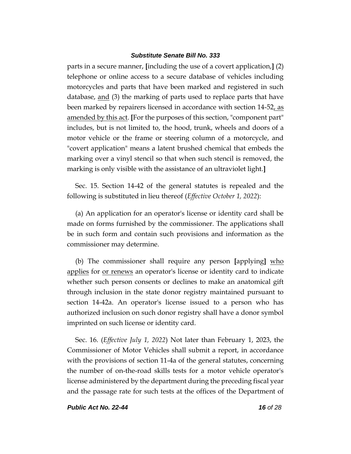parts in a secure manner, **[**including the use of a covert application,**]** (2) telephone or online access to a secure database of vehicles including motorcycles and parts that have been marked and registered in such database, and (3) the marking of parts used to replace parts that have been marked by repairers licensed in accordance with section 14-52, as amended by this act. **[**For the purposes of this section, "component part" includes, but is not limited to, the hood, trunk, wheels and doors of a motor vehicle or the frame or steering column of a motorcycle, and "covert application" means a latent brushed chemical that embeds the marking over a vinyl stencil so that when such stencil is removed, the marking is only visible with the assistance of an ultraviolet light.**]**

Sec. 15. Section 14-42 of the general statutes is repealed and the following is substituted in lieu thereof (*Effective October 1, 2022*):

(a) An application for an operator's license or identity card shall be made on forms furnished by the commissioner. The applications shall be in such form and contain such provisions and information as the commissioner may determine.

(b) The commissioner shall require any person **[**applying**]** who applies for <u>or renews</u> an operator's license or identity card to indicate whether such person consents or declines to make an anatomical gift through inclusion in the state donor registry maintained pursuant to section 14-42a. An operator's license issued to a person who has authorized inclusion on such donor registry shall have a donor symbol imprinted on such license or identity card.

Sec. 16. (*Effective July 1, 2022*) Not later than February 1, 2023, the Commissioner of Motor Vehicles shall submit a report, in accordance with the provisions of section 11-4a of the general statutes, concerning the number of on-the-road skills tests for a motor vehicle operator's license administered by the department during the preceding fiscal year and the passage rate for such tests at the offices of the Department of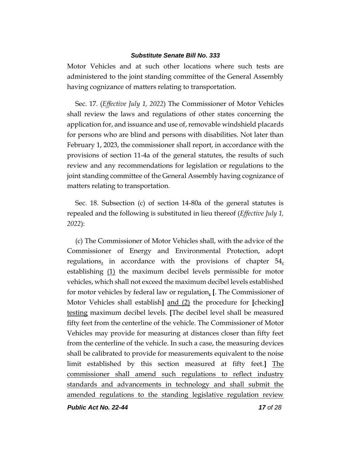Motor Vehicles and at such other locations where such tests are administered to the joint standing committee of the General Assembly having cognizance of matters relating to transportation.

Sec. 17. (*Effective July 1, 2022*) The Commissioner of Motor Vehicles shall review the laws and regulations of other states concerning the application for, and issuance and use of, removable windshield placards for persons who are blind and persons with disabilities. Not later than February 1, 2023, the commissioner shall report, in accordance with the provisions of section 11-4a of the general statutes, the results of such review and any recommendations for legislation or regulations to the joint standing committee of the General Assembly having cognizance of matters relating to transportation.

Sec. 18. Subsection (c) of section 14-80a of the general statutes is repealed and the following is substituted in lieu thereof (*Effective July 1, 2022*):

(c) The Commissioner of Motor Vehicles shall, with the advice of the Commissioner of Energy and Environmental Protection, adopt regulations, in accordance with the provisions of chapter  $54<sub>L</sub>$ establishing (1) the maximum decibel levels permissible for motor vehicles, which shall not exceed the maximum decibel levels established for motor vehicles by federal law or regulation, **[**. The Commissioner of Motor Vehicles shall establish**]** and (2) the procedure for **[**checking**]** testing maximum decibel levels. **[**The decibel level shall be measured fifty feet from the centerline of the vehicle. The Commissioner of Motor Vehicles may provide for measuring at distances closer than fifty feet from the centerline of the vehicle. In such a case, the measuring devices shall be calibrated to provide for measurements equivalent to the noise limit established by this section measured at fifty feet.**]** The commissioner shall amend such regulations to reflect industry standards and advancements in technology and shall submit the amended regulations to the standing legislative regulation review

*Public Act No. 22-44 17 of 28*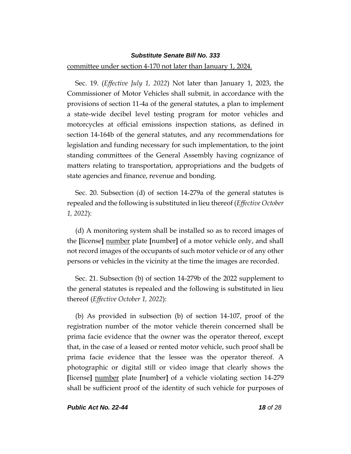#### committee under section 4-170 not later than January 1, 2024.

Sec. 19. (*Effective July 1, 2022*) Not later than January 1, 2023, the Commissioner of Motor Vehicles shall submit, in accordance with the provisions of section 11-4a of the general statutes, a plan to implement a state-wide decibel level testing program for motor vehicles and motorcycles at official emissions inspection stations, as defined in section 14-164b of the general statutes, and any recommendations for legislation and funding necessary for such implementation, to the joint standing committees of the General Assembly having cognizance of matters relating to transportation, appropriations and the budgets of state agencies and finance, revenue and bonding.

Sec. 20. Subsection (d) of section 14-279a of the general statutes is repealed and the following is substituted in lieu thereof (*Effective October 1, 2022*):

(d) A monitoring system shall be installed so as to record images of the **[**license**]** number plate **[**number**]** of a motor vehicle only, and shall not record images of the occupants of such motor vehicle or of any other persons or vehicles in the vicinity at the time the images are recorded.

Sec. 21. Subsection (b) of section 14-279b of the 2022 supplement to the general statutes is repealed and the following is substituted in lieu thereof (*Effective October 1, 2022*):

(b) As provided in subsection (b) of section 14-107, proof of the registration number of the motor vehicle therein concerned shall be prima facie evidence that the owner was the operator thereof, except that, in the case of a leased or rented motor vehicle, such proof shall be prima facie evidence that the lessee was the operator thereof. A photographic or digital still or video image that clearly shows the **[**license**]** number plate **[**number**]** of a vehicle violating section 14-279 shall be sufficient proof of the identity of such vehicle for purposes of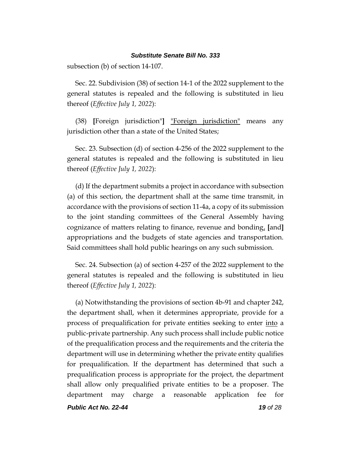subsection (b) of section 14-107.

Sec. 22. Subdivision (38) of section 14-1 of the 2022 supplement to the general statutes is repealed and the following is substituted in lieu thereof (*Effective July 1, 2022*):

(38) **[**Foreign jurisdiction"**]** "Foreign jurisdiction" means any jurisdiction other than a state of the United States;

Sec. 23. Subsection (d) of section 4-256 of the 2022 supplement to the general statutes is repealed and the following is substituted in lieu thereof (*Effective July 1, 2022*):

(d) If the department submits a project in accordance with subsection (a) of this section, the department shall at the same time transmit, in accordance with the provisions of section 11-4a, a copy of its submission to the joint standing committees of the General Assembly having cognizance of matters relating to finance, revenue and bonding, **[**and**]** appropriations and the budgets of state agencies and transportation. Said committees shall hold public hearings on any such submission.

Sec. 24. Subsection (a) of section 4-257 of the 2022 supplement to the general statutes is repealed and the following is substituted in lieu thereof (*Effective July 1, 2022*):

(a) Notwithstanding the provisions of section 4b-91 and chapter 242, the department shall, when it determines appropriate, provide for a process of prequalification for private entities seeking to enter into a public-private partnership. Any such process shall include public notice of the prequalification process and the requirements and the criteria the department will use in determining whether the private entity qualifies for prequalification. If the department has determined that such a prequalification process is appropriate for the project, the department shall allow only prequalified private entities to be a proposer. The department may charge a reasonable application fee for

*Public Act No. 22-44 19 of 28*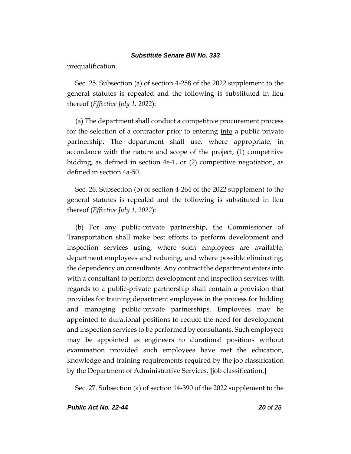prequalification.

Sec. 25. Subsection (a) of section 4-258 of the 2022 supplement to the general statutes is repealed and the following is substituted in lieu thereof (*Effective July 1, 2022*):

(a) The department shall conduct a competitive procurement process for the selection of a contractor prior to entering into a public-private partnership. The department shall use, where appropriate, in accordance with the nature and scope of the project, (1) competitive bidding, as defined in section 4e-1, or (2) competitive negotiation, as defined in section 4a-50.

Sec. 26. Subsection (b) of section 4-264 of the 2022 supplement to the general statutes is repealed and the following is substituted in lieu thereof (*Effective July 1, 2022*):

(b) For any public-private partnership, the Commissioner of Transportation shall make best efforts to perform development and inspection services using, where such employees are available, department employees and reducing, and where possible eliminating, the dependency on consultants. Any contract the department enters into with a consultant to perform development and inspection services with regards to a public-private partnership shall contain a provision that provides for training department employees in the process for bidding and managing public-private partnerships. Employees may be appointed to durational positions to reduce the need for development and inspection services to be performed by consultants. Such employees may be appointed as engineers to durational positions without examination provided such employees have met the education, knowledge and training requirements required by the job classification by the Department of Administrative Services. **[**job classification.**]**

Sec. 27. Subsection (a) of section 14-390 of the 2022 supplement to the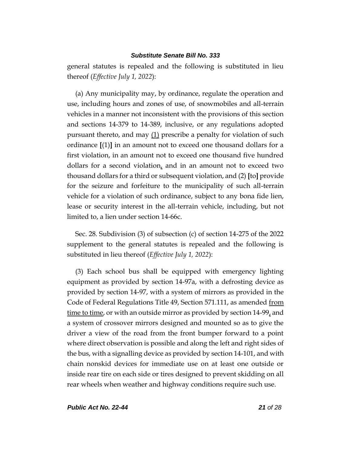general statutes is repealed and the following is substituted in lieu thereof (*Effective July 1, 2022*):

(a) Any municipality may, by ordinance, regulate the operation and use, including hours and zones of use, of snowmobiles and all-terrain vehicles in a manner not inconsistent with the provisions of this section and sections 14-379 to 14-389, inclusive, or any regulations adopted pursuant thereto, and may  $(1)$  prescribe a penalty for violation of such ordinance **[**(1)**]** in an amount not to exceed one thousand dollars for a first violation, in an amount not to exceed one thousand five hundred dollars for a second violation, and in an amount not to exceed two thousand dollars for a third or subsequent violation, and (2) **[**to**]** provide for the seizure and forfeiture to the municipality of such all-terrain vehicle for a violation of such ordinance, subject to any bona fide lien, lease or security interest in the all-terrain vehicle, including, but not limited to, a lien under section 14-66c.

Sec. 28. Subdivision (3) of subsection (c) of section 14-275 of the 2022 supplement to the general statutes is repealed and the following is substituted in lieu thereof (*Effective July 1, 2022*):

(3) Each school bus shall be equipped with emergency lighting equipment as provided by section 14-97a, with a defrosting device as provided by section 14-97, with a system of mirrors as provided in the Code of Federal Regulations Title 49, Section 571.111, as amended from time to time, or with an outside mirror as provided by section 14-99, and a system of crossover mirrors designed and mounted so as to give the driver a view of the road from the front bumper forward to a point where direct observation is possible and along the left and right sides of the bus, with a signalling device as provided by section 14-101, and with chain nonskid devices for immediate use on at least one outside or inside rear tire on each side or tires designed to prevent skidding on all rear wheels when weather and highway conditions require such use.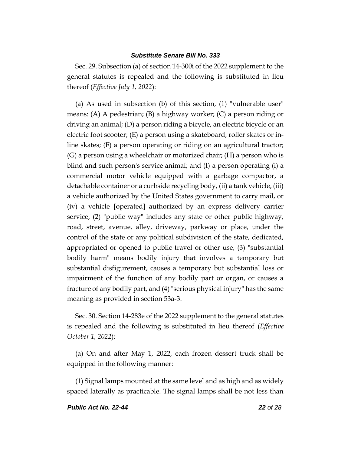Sec. 29. Subsection (a) of section 14-300i of the 2022 supplement to the general statutes is repealed and the following is substituted in lieu thereof (*Effective July 1, 2022*):

(a) As used in subsection (b) of this section, (1) "vulnerable user" means: (A) A pedestrian; (B) a highway worker; (C) a person riding or driving an animal; (D) a person riding a bicycle, an electric bicycle or an electric foot scooter; (E) a person using a skateboard, roller skates or inline skates; (F) a person operating or riding on an agricultural tractor; (G) a person using a wheelchair or motorized chair; (H) a person who is blind and such person's service animal; and (I) a person operating (i) a commercial motor vehicle equipped with a garbage compactor, a detachable container or a curbside recycling body, (ii) a tank vehicle, (iii) a vehicle authorized by the United States government to carry mail, or (iv) a vehicle **[**operated**]** authorized by an express delivery carrier service, (2) "public way" includes any state or other public highway, road, street, avenue, alley, driveway, parkway or place, under the control of the state or any political subdivision of the state, dedicated, appropriated or opened to public travel or other use, (3) "substantial bodily harm" means bodily injury that involves a temporary but substantial disfigurement, causes a temporary but substantial loss or impairment of the function of any bodily part or organ, or causes a fracture of any bodily part, and (4) "serious physical injury" has the same meaning as provided in section 53a-3.

Sec. 30. Section 14-283e of the 2022 supplement to the general statutes is repealed and the following is substituted in lieu thereof (*Effective October 1, 2022*):

(a) On and after May 1, 2022, each frozen dessert truck shall be equipped in the following manner:

(1) Signal lamps mounted at the same level and as high and as widely spaced laterally as practicable. The signal lamps shall be not less than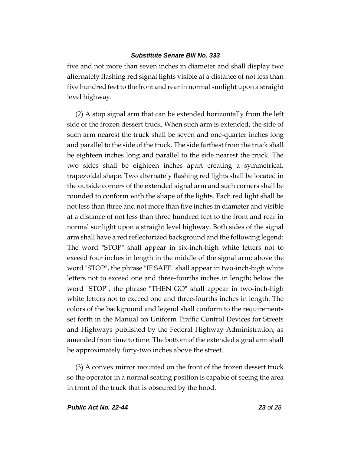five and not more than seven inches in diameter and shall display two alternately flashing red signal lights visible at a distance of not less than five hundred feet to the front and rear in normal sunlight upon a straight level highway.

(2) A stop signal arm that can be extended horizontally from the left side of the frozen dessert truck. When such arm is extended, the side of such arm nearest the truck shall be seven and one-quarter inches long and parallel to the side of the truck. The side farthest from the truck shall be eighteen inches long and parallel to the side nearest the truck. The two sides shall be eighteen inches apart creating a symmetrical, trapezoidal shape. Two alternately flashing red lights shall be located in the outside corners of the extended signal arm and such corners shall be rounded to conform with the shape of the lights. Each red light shall be not less than three and not more than five inches in diameter and visible at a distance of not less than three hundred feet to the front and rear in normal sunlight upon a straight level highway. Both sides of the signal arm shall have a red reflectorized background and the following legend: The word "STOP" shall appear in six-inch-high white letters not to exceed four inches in length in the middle of the signal arm; above the word "STOP", the phrase "IF SAFE" shall appear in two-inch-high white letters not to exceed one and three-fourths inches in length; below the word "STOP", the phrase "THEN GO" shall appear in two-inch-high white letters not to exceed one and three-fourths inches in length. The colors of the background and legend shall conform to the requirements set forth in the Manual on Uniform Traffic Control Devices for Streets and Highways published by the Federal Highway Administration, as amended from time to time. The bottom of the extended signal arm shall be approximately forty-two inches above the street.

(3) A convex mirror mounted on the front of the frozen dessert truck so the operator in a normal seating position is capable of seeing the area in front of the truck that is obscured by the hood.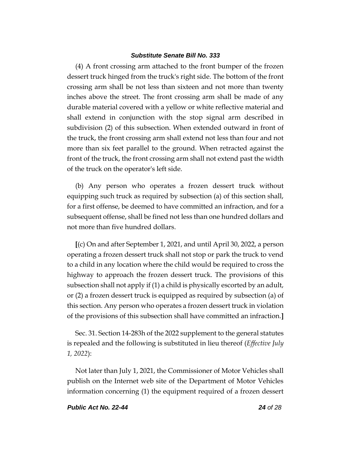(4) A front crossing arm attached to the front bumper of the frozen dessert truck hinged from the truck's right side. The bottom of the front crossing arm shall be not less than sixteen and not more than twenty inches above the street. The front crossing arm shall be made of any durable material covered with a yellow or white reflective material and shall extend in conjunction with the stop signal arm described in subdivision (2) of this subsection. When extended outward in front of the truck, the front crossing arm shall extend not less than four and not more than six feet parallel to the ground. When retracted against the front of the truck, the front crossing arm shall not extend past the width of the truck on the operator's left side.

(b) Any person who operates a frozen dessert truck without equipping such truck as required by subsection (a) of this section shall, for a first offense, be deemed to have committed an infraction, and for a subsequent offense, shall be fined not less than one hundred dollars and not more than five hundred dollars.

**[**(c) On and after September 1, 2021, and until April 30, 2022, a person operating a frozen dessert truck shall not stop or park the truck to vend to a child in any location where the child would be required to cross the highway to approach the frozen dessert truck. The provisions of this subsection shall not apply if (1) a child is physically escorted by an adult, or (2) a frozen dessert truck is equipped as required by subsection (a) of this section. Any person who operates a frozen dessert truck in violation of the provisions of this subsection shall have committed an infraction.**]**

Sec. 31. Section 14-283h of the 2022 supplement to the general statutes is repealed and the following is substituted in lieu thereof (*Effective July 1, 2022*):

Not later than July 1, 2021, the Commissioner of Motor Vehicles shall publish on the Internet web site of the Department of Motor Vehicles information concerning (1) the equipment required of a frozen dessert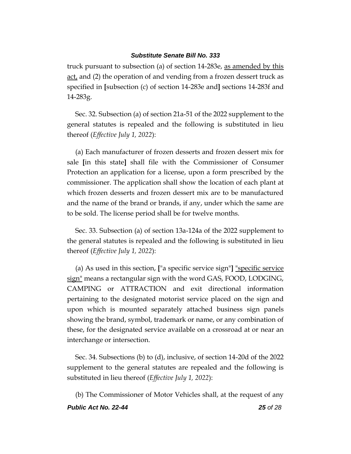truck pursuant to subsection (a) of section 14-283e, as amended by this act, and (2) the operation of and vending from a frozen dessert truck as specified in **[**subsection (c) of section 14-283e and**]** sections 14-283f and 14-283g.

Sec. 32. Subsection (a) of section 21a-51 of the 2022 supplement to the general statutes is repealed and the following is substituted in lieu thereof (*Effective July 1, 2022*):

(a) Each manufacturer of frozen desserts and frozen dessert mix for sale **[**in this state**]** shall file with the Commissioner of Consumer Protection an application for a license, upon a form prescribed by the commissioner. The application shall show the location of each plant at which frozen desserts and frozen dessert mix are to be manufactured and the name of the brand or brands, if any, under which the same are to be sold. The license period shall be for twelve months.

Sec. 33. Subsection (a) of section 13a-124a of the 2022 supplement to the general statutes is repealed and the following is substituted in lieu thereof (*Effective July 1, 2022*):

(a) As used in this section, **[**"a specific service sign"**]** "specific service sign" means a rectangular sign with the word GAS, FOOD, LODGING, CAMPING or ATTRACTION and exit directional information pertaining to the designated motorist service placed on the sign and upon which is mounted separately attached business sign panels showing the brand, symbol, trademark or name, or any combination of these, for the designated service available on a crossroad at or near an interchange or intersection.

Sec. 34. Subsections (b) to (d), inclusive, of section 14-20d of the 2022 supplement to the general statutes are repealed and the following is substituted in lieu thereof (*Effective July 1, 2022*):

(b) The Commissioner of Motor Vehicles shall, at the request of any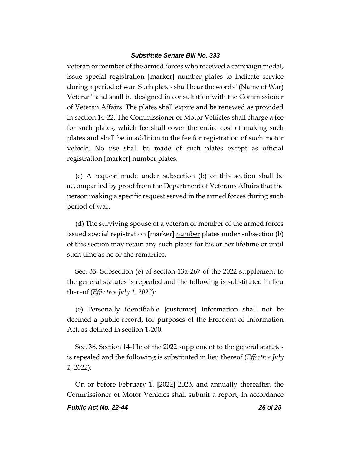veteran or member of the armed forces who received a campaign medal, issue special registration **[**marker**]** number plates to indicate service during a period of war. Such plates shall bear the words "(Name of War) Veteran" and shall be designed in consultation with the Commissioner of Veteran Affairs. The plates shall expire and be renewed as provided in section 14-22. The Commissioner of Motor Vehicles shall charge a fee for such plates, which fee shall cover the entire cost of making such plates and shall be in addition to the fee for registration of such motor vehicle. No use shall be made of such plates except as official registration **[**marker**]** number plates.

(c) A request made under subsection (b) of this section shall be accompanied by proof from the Department of Veterans Affairs that the person making a specific request served in the armed forces during such period of war.

(d) The surviving spouse of a veteran or member of the armed forces issued special registration **[**marker**]** number plates under subsection (b) of this section may retain any such plates for his or her lifetime or until such time as he or she remarries.

Sec. 35. Subsection (e) of section 13a-267 of the 2022 supplement to the general statutes is repealed and the following is substituted in lieu thereof (*Effective July 1, 2022*):

(e) Personally identifiable **[**customer**]** information shall not be deemed a public record, for purposes of the Freedom of Information Act, as defined in section 1-200.

Sec. 36. Section 14-11e of the 2022 supplement to the general statutes is repealed and the following is substituted in lieu thereof (*Effective July 1, 2022*):

On or before February 1, **[**2022**]** 2023, and annually thereafter, the Commissioner of Motor Vehicles shall submit a report, in accordance

#### *Public Act No. 22-44 26 of 28*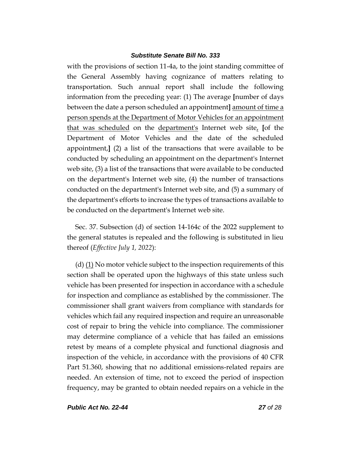with the provisions of section 11-4a, to the joint standing committee of the General Assembly having cognizance of matters relating to transportation. Such annual report shall include the following information from the preceding year: (1) The average **[**number of days between the date a person scheduled an appointment**]** amount of time a person spends at the Department of Motor Vehicles for an appointment that was scheduled on the department's Internet web site, **[**of the Department of Motor Vehicles and the date of the scheduled appointment,**]** (2) a list of the transactions that were available to be conducted by scheduling an appointment on the department's Internet web site, (3) a list of the transactions that were available to be conducted on the department's Internet web site, (4) the number of transactions conducted on the department's Internet web site, and (5) a summary of the department's efforts to increase the types of transactions available to be conducted on the department's Internet web site.

Sec. 37. Subsection (d) of section 14-164c of the 2022 supplement to the general statutes is repealed and the following is substituted in lieu thereof (*Effective July 1, 2022*):

(d) (1) No motor vehicle subject to the inspection requirements of this section shall be operated upon the highways of this state unless such vehicle has been presented for inspection in accordance with a schedule for inspection and compliance as established by the commissioner. The commissioner shall grant waivers from compliance with standards for vehicles which fail any required inspection and require an unreasonable cost of repair to bring the vehicle into compliance. The commissioner may determine compliance of a vehicle that has failed an emissions retest by means of a complete physical and functional diagnosis and inspection of the vehicle, in accordance with the provisions of 40 CFR Part 51.360, showing that no additional emissions-related repairs are needed. An extension of time, not to exceed the period of inspection frequency, may be granted to obtain needed repairs on a vehicle in the